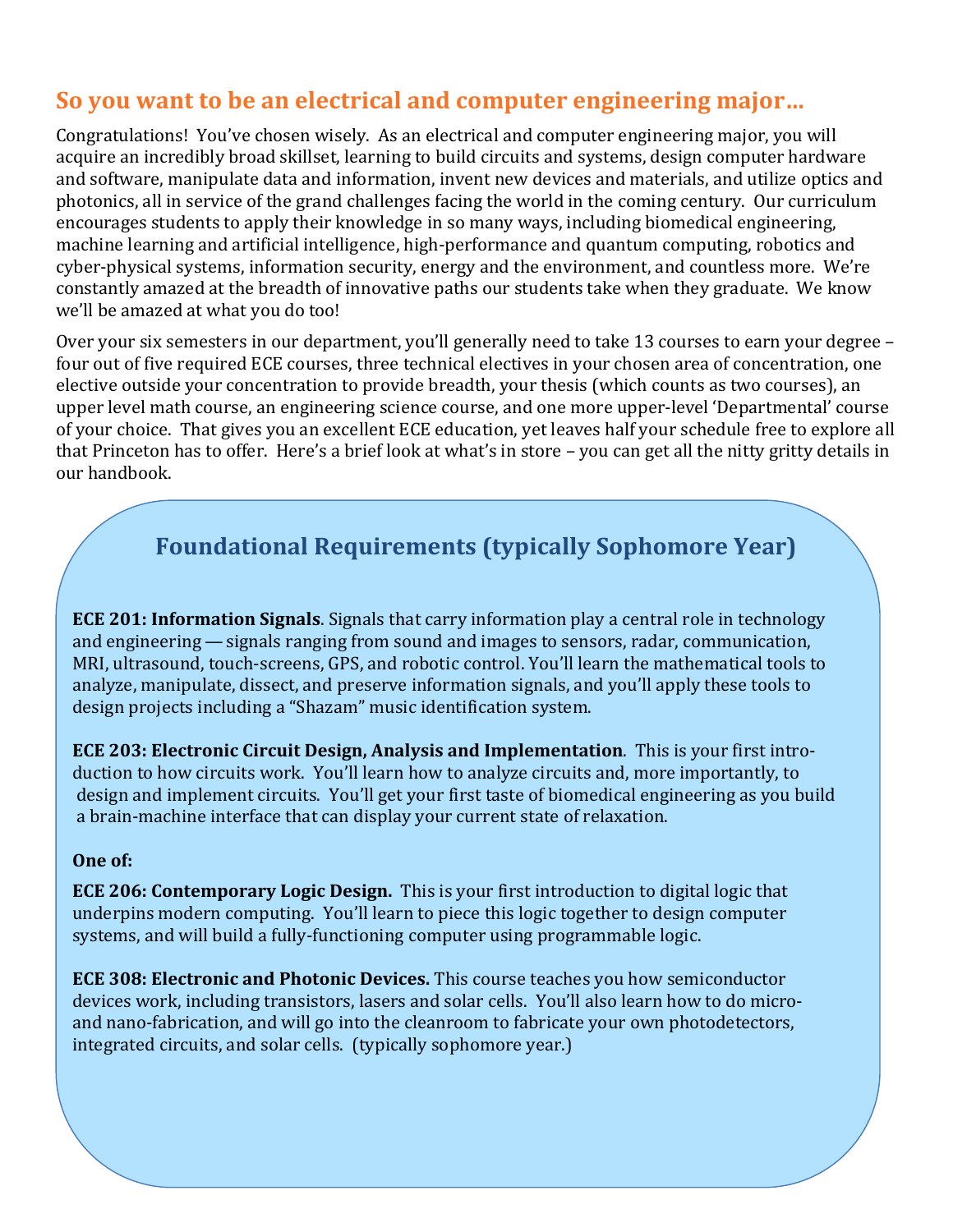# **So you want to be an electrical and computer engineering major…**

Congratulations! You've chosen wisely. As an electrical and computer engineering major, you will acquire an incredibly broad skillset, learning to build circuits and systems, design computer hardware and software, manipulate data and information, invent new devices and materials, and utilize optics and photonics, all in service of the grand challenges facing the world in the coming century. Our curriculum encourages students to apply their knowledge in so many ways, including biomedical engineering, machine learning and artificial intelligence, high-performance and quantum computing, robotics and cyber-physical systems, information security, energy and the environment, and countless more. We're constantly amazed at the breadth of innovative paths our students take when they graduate. We know we'll be amazed at what you do too!

Over your six semesters in our department, you'll generally need to take 13 courses to earn your degree – four out of five required ECE courses, three technical electives in your chosen area of concentration, one elective outside your concentration to provide breadth, your thesis (which counts as two courses), an upper level math course, an engineering science course, and one more upper-level 'Departmental' course of your choice. That gives you an excellent ECE education, yet leaves half your schedule free to explore all that Princeton has to offer. Here's a brief look at what's in store – you can get all the nitty gritty details in our handbook.

# **Foundational Requirements (typically Sophomore Year)**

 **ECE 201: Information Signals**. Signals that carry information play a central role in technology and engineering — signals ranging from sound and images to sensors, radar, communication, MRI, ultrasound, touch-screens, GPS, and robotic control. You'll learn the mathematical tools to analyze, manipulate, dissect, and preserve information signals, and you'll apply these tools to design projects including a "Shazam" music identification system.

**ECE 203: Electronic Circuit Design, Analysis and Implementation**. This is your first introduction to how circuits work. You'll learn how to analyze circuits and, more importantly, to design and implement circuits. You'll get your first taste of biomedical engineering as you build a brain-machine interface that can display your current state of relaxation.

### **One of:**

**ECE 206: Contemporary Logic Design.** This is your first introduction to digital logic that underpins modern computing. You'll learn to piece this logic together to design computer systems, and will build a fully-functioning computer using programmable logic.

**ECE 308: Electronic and Photonic Devices.** This course teaches you how semiconductor devices work, including transistors, lasers and solar cells. You'll also learn how to do microand nano-fabrication, and will go into the cleanroom to fabricate your own photodetectors, integrated circuits, and solar cells. (typically sophomore year.)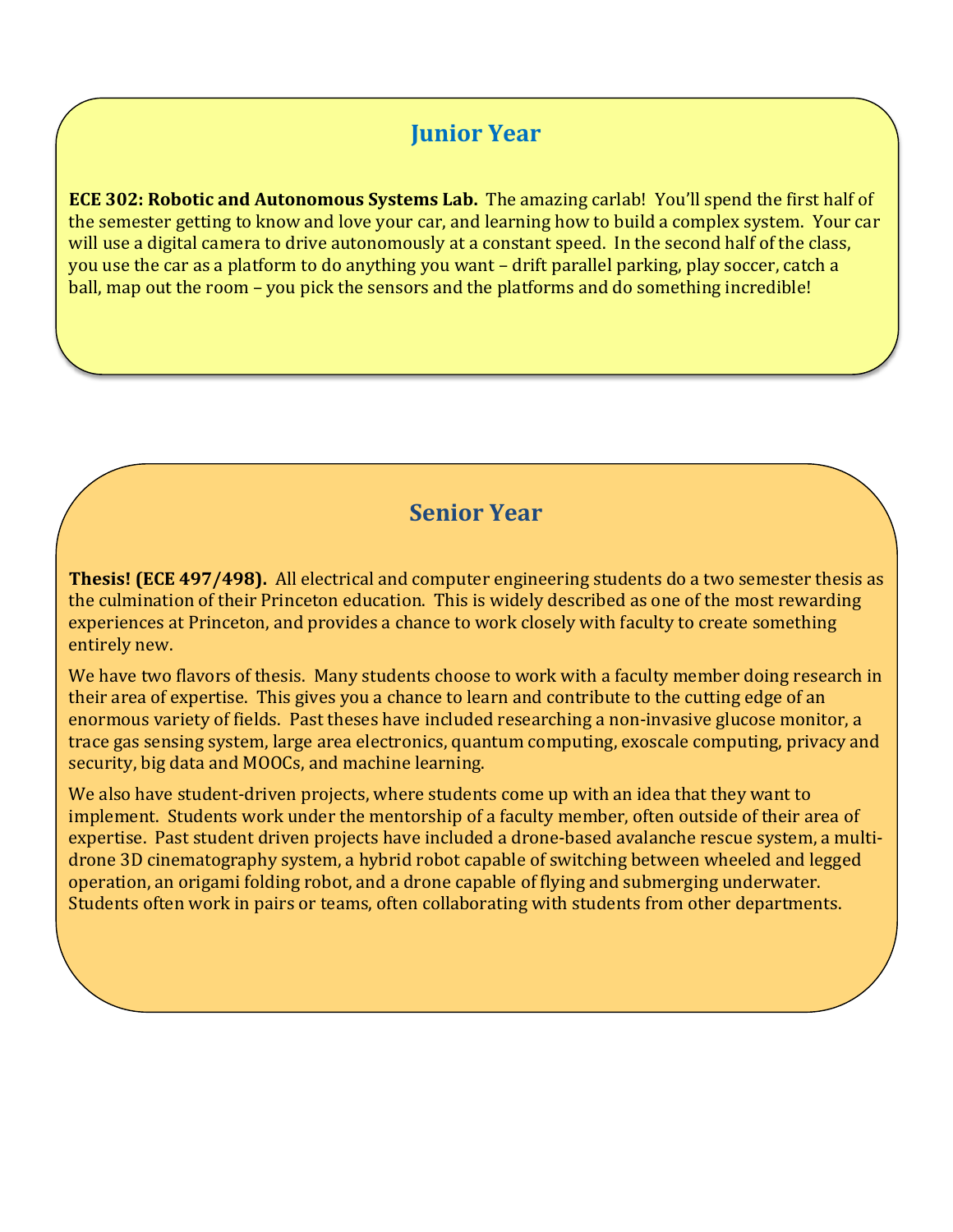## **Junior Year**

**ECE 302: Robotic and Autonomous Systems Lab.** The amazing carlab! You'll spend the first half of the semester getting to know and love your car, and learning how to build a complex system. Your car will use a digital camera to drive autonomously at a constant speed. In the second half of the class, you use the car as a platform to do anything you want – drift parallel parking, play soccer, catch a ball, map out the room – you pick the sensors and the platforms and do something incredible!

## **Senior Year**

**Thesis! (ECE 497/498).** All electrical and computer engineering students do a two semester thesis as the culmination of their Princeton education. This is widely described as one of the most rewarding experiences at Princeton, and provides a chance to work closely with faculty to create something entirely new.

We have two flavors of thesis. Many students choose to work with a faculty member doing research in their area of expertise. This gives you a chance to learn and contribute to the cutting edge of an enormous variety of fields. Past theses have included researching a non-invasive glucose monitor, a trace gas sensing system, large area electronics, quantum computing, exoscale computing, privacy and security, big data and MOOCs, and machine learning.

We also have student-driven projects, where students come up with an idea that they want to implement. Students work under the mentorship of a faculty member, often outside of their area of expertise. Past student driven projects have included a drone-based avalanche rescue system, a multidrone 3D cinematography system, a hybrid robot capable of switching between wheeled and legged operation, an origami folding robot, and a drone capable of flying and submerging underwater. Students often work in pairs or teams, often collaborating with students from other departments.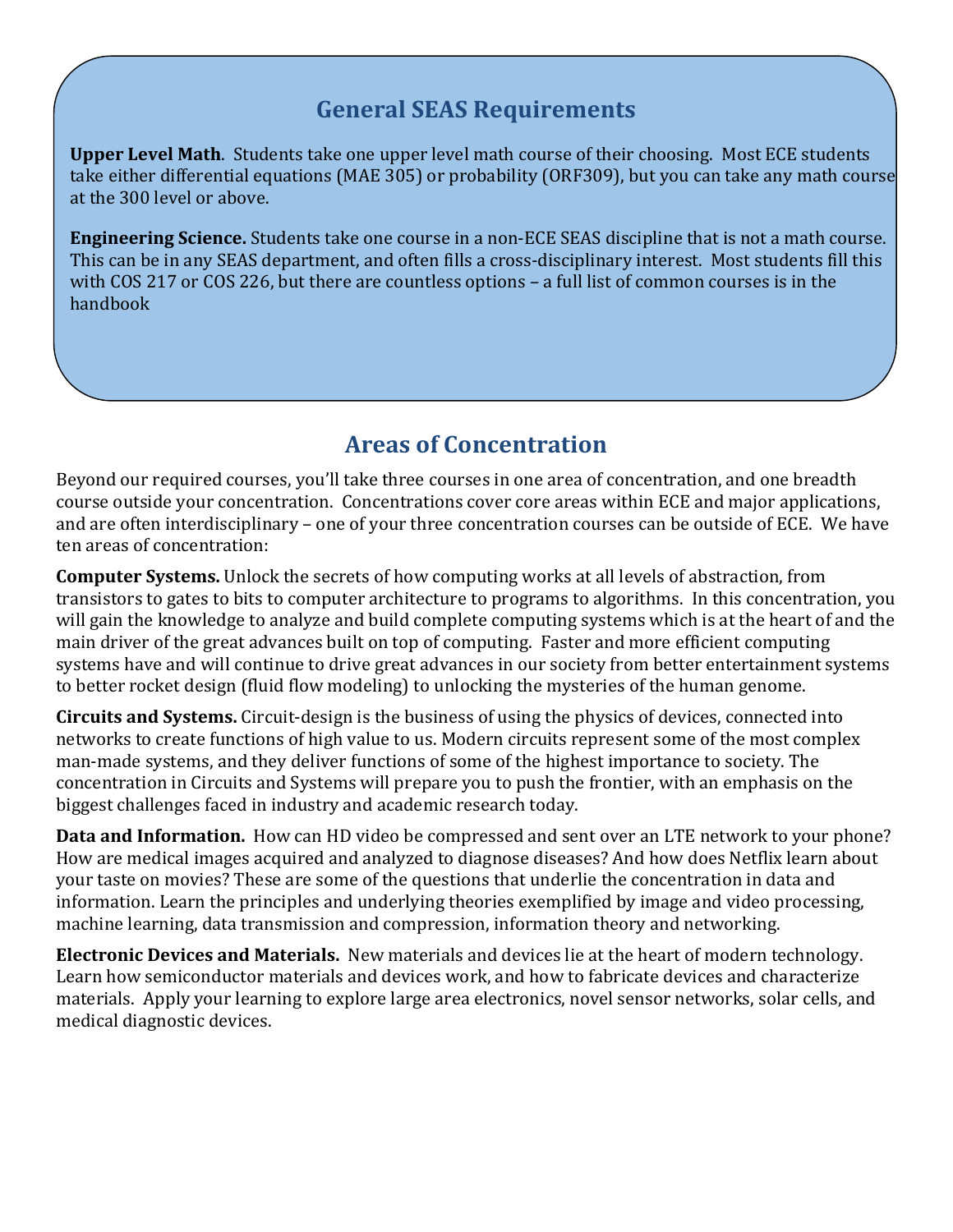# **General SEAS Requirements**

**Upper Level Math**. Students take one upper level math course of their choosing. Most ECE students take either differential equations (MAE 305) or probability (ORF309), but you can take any math course at the 300 level or above.

**Engineering Science.** Students take one course in a non-ECE SEAS discipline that is not a math course. This can be in any SEAS department, and often fills a cross-disciplinary interest. Most students fill this with COS 217 or COS 226, but there are countless options – a full list of common courses is in the handbook

# **Areas of Concentration**

Beyond our required courses, you'll take three courses in one area of concentration, and one breadth course outside your concentration. Concentrations cover core areas within ECE and major applications, and are often interdisciplinary – one of your three concentration courses can be outside of ECE. We have ten areas of concentration:

**Computer Systems.** Unlock the secrets of how computing works at all levels of abstraction, from transistors to gates to bits to computer architecture to programs to algorithms. In this concentration, you will gain the knowledge to analyze and build complete computing systems which is at the heart of and the main driver of the great advances built on top of computing. Faster and more efficient computing systems have and will continue to drive great advances in our society from better entertainment systems to better rocket design (fluid flow modeling) to unlocking the mysteries of the human genome.

**Circuits and Systems.** Circuit-design is the business of using the physics of devices, connected into networks to create functions of high value to us. Modern circuits represent some of the most complex man-made systems, and they deliver functions of some of the highest importance to society. The concentration in Circuits and Systems will prepare you to push the frontier, with an emphasis on the biggest challenges faced in industry and academic research today.

**Data and Information.** How can HD video be compressed and sent over an LTE network to your phone? How are medical images acquired and analyzed to diagnose diseases? And how does Netflix learn about your taste on movies? These are some of the questions that underlie the concentration in data and information. Learn the principles and underlying theories exemplified by image and video processing, machine learning, data transmission and compression, information theory and networking.

**Electronic Devices and Materials.** New materials and devices lie at the heart of modern technology. Learn how semiconductor materials and devices work, and how to fabricate devices and characterize materials. Apply your learning to explore large area electronics, novel sensor networks, solar cells, and medical diagnostic devices.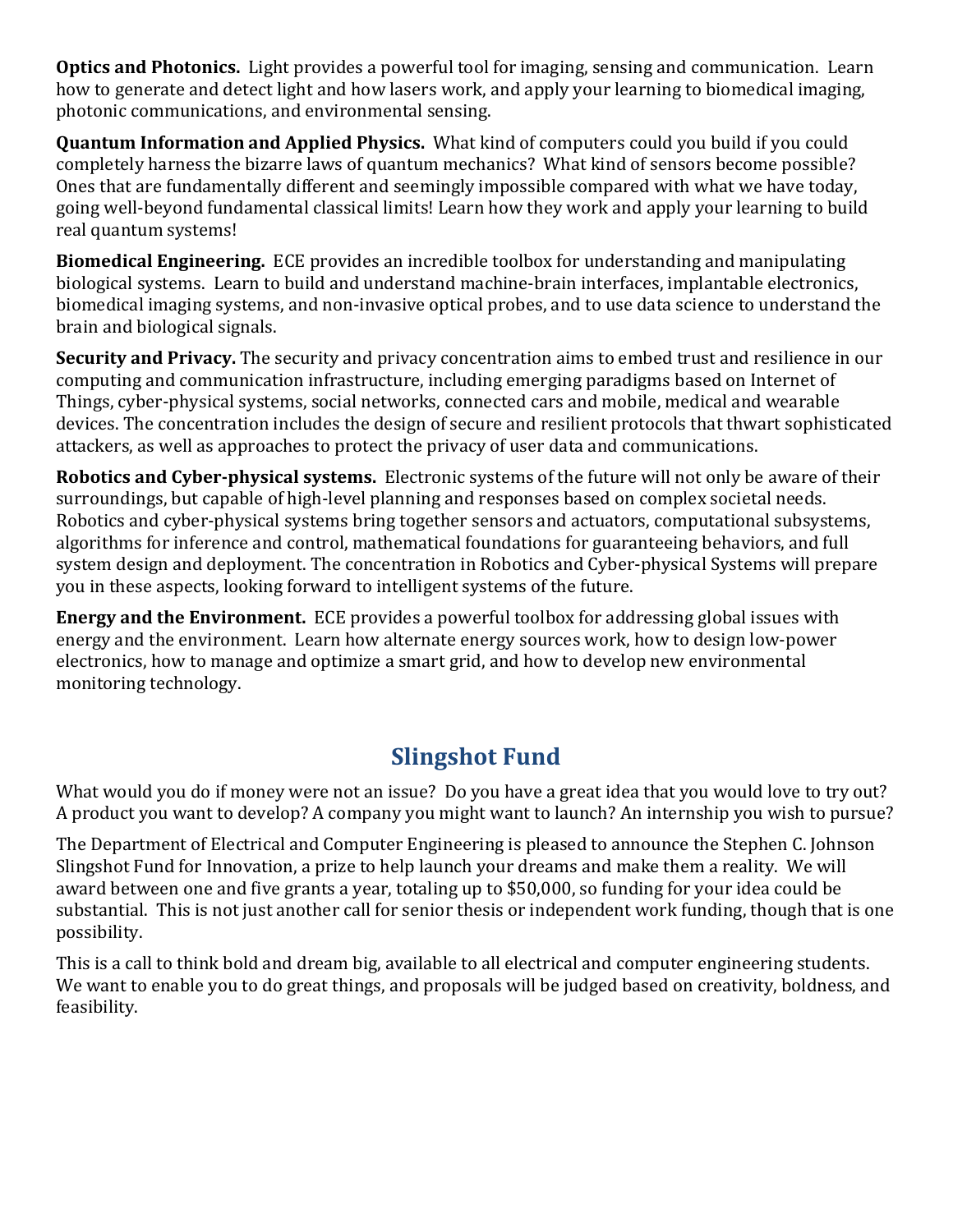**Optics and Photonics.** Light provides a powerful tool for imaging, sensing and communication. Learn how to generate and detect light and how lasers work, and apply your learning to biomedical imaging, photonic communications, and environmental sensing.

**Quantum Information and Applied Physics.** What kind of computers could you build if you could completely harness the bizarre laws of quantum mechanics? What kind of sensors become possible? Ones that are fundamentally different and seemingly impossible compared with what we have today, going well-beyond fundamental classical limits! Learn how they work and apply your learning to build real quantum systems!

**Biomedical Engineering.** ECE provides an incredible toolbox for understanding and manipulating biological systems. Learn to build and understand machine-brain interfaces, implantable electronics, biomedical imaging systems, and non-invasive optical probes, and to use data science to understand the brain and biological signals.

**Security and Privacy.** The security and privacy concentration aims to embed trust and resilience in our computing and communication infrastructure, including emerging paradigms based on Internet of Things, cyber-physical systems, social networks, connected cars and mobile, medical and wearable devices. The concentration includes the design of secure and resilient protocols that thwart sophisticated attackers, as well as approaches to protect the privacy of user data and communications.

**Robotics and Cyber-physical systems.** Electronic systems of the future will not only be aware of their surroundings, but capable of high-level planning and responses based on complex societal needs. Robotics and cyber-physical systems bring together sensors and actuators, computational subsystems, algorithms for inference and control, mathematical foundations for guaranteeing behaviors, and full system design and deployment. The concentration in Robotics and Cyber-physical Systems will prepare you in these aspects, looking forward to intelligent systems of the future.

**Energy and the Environment.** ECE provides a powerful toolbox for addressing global issues with energy and the environment. Learn how alternate energy sources work, how to design low-power electronics, how to manage and optimize a smart grid, and how to develop new environmental monitoring technology.

# **Slingshot Fund**

What would you do if money were not an issue? Do you have a great idea that you would love to try out? A product you want to develop? A company you might want to launch? An internship you wish to pursue?

The Department of Electrical and Computer Engineering is pleased to announce the Stephen C. Johnson Slingshot Fund for Innovation, a prize to help launch your dreams and make them a reality. We will award between one and five grants a year, totaling up to \$50,000, so funding for your idea could be substantial. This is not just another call for senior thesis or independent work funding, though that is one possibility.

This is a call to think bold and dream big, available to all electrical and computer engineering students. We want to enable you to do great things, and proposals will be judged based on creativity, boldness, and feasibility.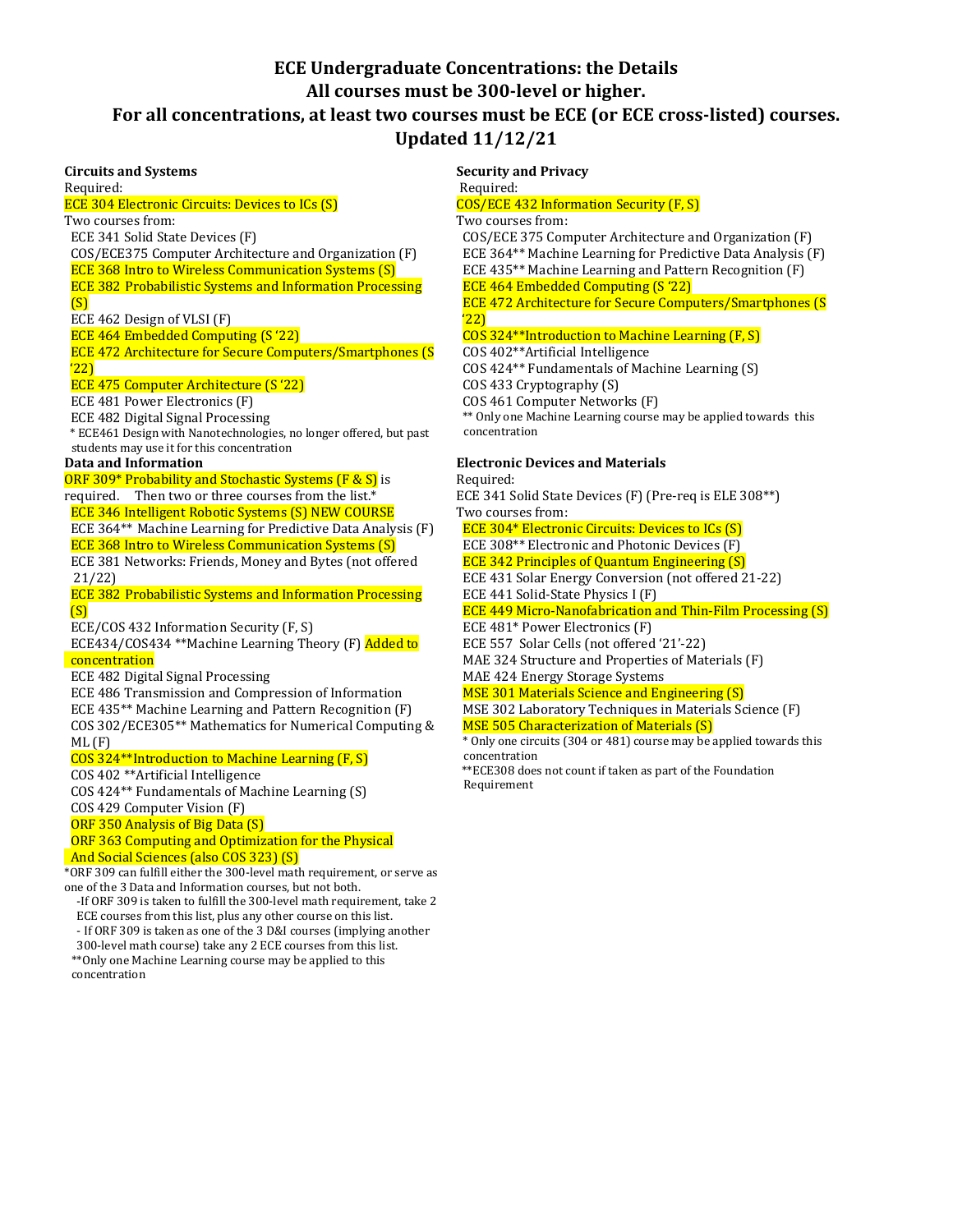### **ECE Undergraduate Concentrations: the Details All courses must be 300-level or higher. For all concentrations, at least two courses must be ECE (or ECE cross-listed) courses. Updated 11/12/21**

#### **Circuits and Systems**

Required: ECE 304 Electronic Circuits: Devices to ICs (S) Two courses from: ECE 341 Solid State Devices (F) COS/ECE375 Computer Architecture and Organization (F) ECE 368 Intro to Wireless Communication Systems (S) ECE 382 Probabilistic Systems and Information Processing (S) ECE 462 Design of VLSI (F) ECE 464 Embedded Computing (S '22) ECE 472 Architecture for Secure Computers/Smartphones (S '22) ECE 475 Computer Architecture (S '22) ECE 481 Power Electronics (F) ECE 482 Digital Signal Processing \* ECE461 Design with Nanotechnologies, no longer offered, but past students may use it for this concentration **Data and Information** ORF 309\* Probability and Stochastic Systems (F & S) is required. Then two or three courses from the list.\* ECE 346 Intelligent Robotic Systems (S) NEW COURSE ECE 364\*\* Machine Learning for Predictive Data Analysis (F) ECE 368 Intro to Wireless Communication Systems (S) ECE 381 Networks: Friends, Money and Bytes (not offered 21/22) ECE 382 Probabilistic Systems and Information Processing (S) ECE/COS 432 Information Security (F, S) ECE434/COS434 \*\*Machine Learning Theory (F) Added to concentration ECE 482 Digital Signal Processing ECE 486 Transmission and Compression of Information ECE 435\*\* Machine Learning and Pattern Recognition (F) COS 302/ECE305\*\* Mathematics for Numerical Computing & ML (F) COS 324\*\*Introduction to Machine Learning (F, S) COS 402 \*\*Artificial Intelligence COS 424\*\* Fundamentals of Machine Learning (S) COS 429 Computer Vision (F) ORF 350 Analysis of Big Data (S) ORF 363 Computing and Optimization for the Physical And Social Sciences (also COS 323) (S) \*ORF 309 can fulfill either the 300-level math requirement, or serve as

one of the 3 Data and Information courses, but not both. -If ORF 309 is taken to fulfill the 300-level math requirement, take 2

ECE courses from this list, plus any other course on this list. - If ORF 309 is taken as one of the 3 D&I courses (implying another 300-level math course) take any 2 ECE courses from this list.

\*\*Only one Machine Learning course may be applied to this concentration

#### **Security and Privacy** Required:

COS/ECE 432 Information Security (F, S)

### Two courses from:

 COS/ECE 375 Computer Architecture and Organization (F) ECE 364\*\* Machine Learning for Predictive Data Analysis (F) ECE 435\*\* Machine Learning and Pattern Recognition (F)

ECE 464 Embedded Computing (S '22)

 ECE 472 Architecture for Secure Computers/Smartphones (S '22)

### COS 324\*\*Introduction to Machine Learning (F, S)

COS 402\*\*Artificial Intelligence

COS 424\*\* Fundamentals of Machine Learning (S)

COS 433 Cryptography (S)

COS 461 Computer Networks (F)

\*\* Only one Machine Learning course may be applied towards this concentration

### **Electronic Devices and Materials**

Required: ECE 341 Solid State Devices (F) (Pre-req is ELE 308\*\*) Two courses from:

ECE 304\* Electronic Circuits: Devices to ICs (S)

ECE 308\*\* Electronic and Photonic Devices (F)

ECE 342 Principles of Quantum Engineering (S)

ECE 431 Solar Energy Conversion (not offered 21-22)

ECE 441 Solid-State Physics I (F)

ECE 449 Micro-Nanofabrication and Thin-Film Processing (S)

ECE 481\* Power Electronics (F)

- ECE 557 Solar Cells (not offered '21'-22)
- MAE 324 Structure and Properties of Materials (F)

MAE 424 Energy Storage Systems

MSE 301 Materials Science and Engineering (S)

 MSE 302 Laboratory Techniques in Materials Science (F) MSE 505 Characterization of Materials (S)

 \* Only one circuits (304 or 481) course may be applied towards this concentration

 \*\*ECE308 does not count if taken as part of the Foundation Requirement